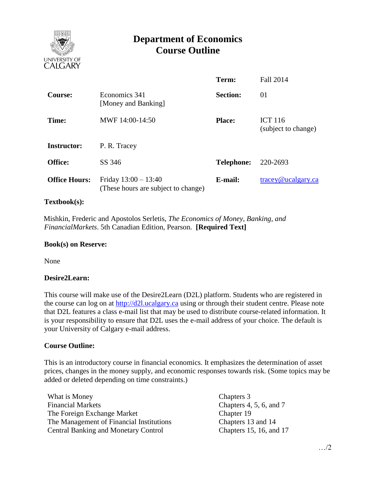

# **Department of Economics Course Outline**

|                      |                                                               | Term:             | <b>Fall 2014</b>                      |  |
|----------------------|---------------------------------------------------------------|-------------------|---------------------------------------|--|
| <b>Course:</b>       | Economics 341<br>[Money and Banking]                          | <b>Section:</b>   | 01                                    |  |
| Time:                | MWF 14:00-14:50                                               | <b>Place:</b>     | <b>ICT 116</b><br>(subject to change) |  |
| <b>Instructor:</b>   | P. R. Tracey                                                  |                   |                                       |  |
| <b>Office:</b>       | SS 346                                                        | <b>Telephone:</b> | 220-2693                              |  |
| <b>Office Hours:</b> | Friday $13:00 - 13:40$<br>(These hours are subject to change) | E-mail:           | $trace\$ <sub>@ucalgary.ca</sub>      |  |

### **Textbook(s):**

 Mishkin, Frederic and Apostolos Serletis, *The Economics of Money, Banking, and FinancialMarkets*. 5th Canadian Edition, Pearson. **[Required Text]**

#### **Book(s) on Reserve:**

None

#### **Desire2Learn:**

This course will make use of the Desire2Learn (D2L) platform. Students who are registered in the course can log on at [http://d2l.ucalgary.ca](http://d2l.ucalgary.ca/) using or through their student centre. Please note that D2L features a class e-mail list that may be used to distribute course-related information. It is your responsibility to ensure that D2L uses the e-mail address of your choice. The default is your University of Calgary e-mail address.

#### **Course Outline:**

This is an introductory course in financial economics. It emphasizes the determination of asset prices, changes in the money supply, and economic responses towards risk. (Some topics may be added or deleted depending on time constraints.)

| What is Money                               | Chapters 3              |
|---------------------------------------------|-------------------------|
| <b>Financial Markets</b>                    | Chapters 4, 5, 6, and 7 |
| The Foreign Exchange Market                 | Chapter 19              |
| The Management of Financial Institutions    | Chapters 13 and 14      |
| <b>Central Banking and Monetary Control</b> | Chapters 15, 16, and 17 |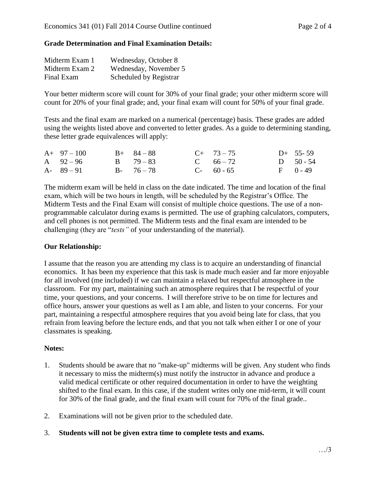## **Grade Determination and Final Examination Details:**

| Midterm Exam 1 | Wednesday, October 8   |
|----------------|------------------------|
| Midterm Exam 2 | Wednesday, November 5  |
| Final Exam     | Scheduled by Registrar |

Your better midterm score will count for 30% of your final grade; your other midterm score will count for 20% of your final grade; and, your final exam will count for 50% of your final grade.

Tests and the final exam are marked on a numerical (percentage) basis. These grades are added using the weights listed above and converted to letter grades. As a guide to determining standing, these letter grade equivalences will apply:

| $A+97-100$    | $B+ 84-88$    | $C+ 73-75$  | $D+$ 55-59   |
|---------------|---------------|-------------|--------------|
| A $92 - 96$   | $B = 79 - 83$ | C $66 - 72$ | D $50 - 54$  |
| $A - 89 - 91$ | $B - 76 - 78$ | $C-60-65$   | $F = 0 - 49$ |

The midterm exam will be held in class on the date indicated. The time and location of the final exam, which will be two hours in length, will be scheduled by the Registrar's Office. The Midterm Tests and the Final Exam will consist of multiple choice questions. The use of a nonprogrammable calculator during exams is permitted. The use of graphing calculators, computers, and cell phones is not permitted. The Midterm tests and the final exam are intended to be challenging (they are "*tests"* of your understanding of the material).

#### **Our Relationship:**

I assume that the reason you are attending my class is to acquire an understanding of financial economics. It has been my experience that this task is made much easier and far more enjoyable for all involved (me included) if we can maintain a relaxed but respectful atmosphere in the classroom. For my part, maintaining such an atmosphere requires that I be respectful of your time, your questions, and your concerns. I will therefore strive to be on time for lectures and office hours, answer your questions as well as I am able, and listen to your concerns. For your part, maintaining a respectful atmosphere requires that you avoid being late for class, that you refrain from leaving before the lecture ends, and that you not talk when either I or one of your classmates is speaking.

## **Notes:**

- 1. Students should be aware that no "make-up" midterms will be given. Any student who finds it necessary to miss the midterm(s) must notify the instructor in advance and produce a valid medical certificate or other required documentation in order to have the weighting shifted to the final exam. In this case, if the student writes only one mid-term, it will count for 30% of the final grade, and the final exam will count for 70% of the final grade..
- 2. Examinations will not be given prior to the scheduled date.
- 3. **Students will not be given extra time to complete tests and exams.**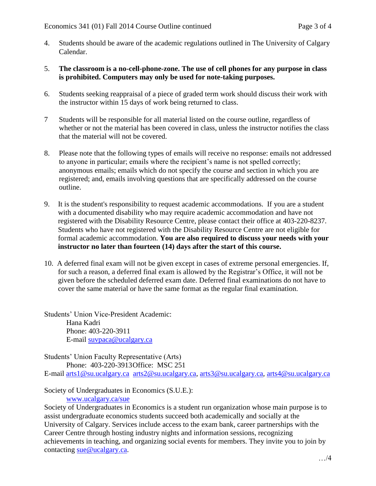- 4. Students should be aware of the academic regulations outlined in The University of Calgary Calendar.
- 5. **The classroom is a no-cell-phone-zone. The use of cell phones for any purpose in class is prohibited. Computers may only be used for note-taking purposes.**
- 6. Students seeking reappraisal of a piece of graded term work should discuss their work with the instructor within 15 days of work being returned to class.
- 7 Students will be responsible for all material listed on the course outline, regardless of whether or not the material has been covered in class, unless the instructor notifies the class that the material will not be covered.
- 8. Please note that the following types of emails will receive no response: emails not addressed to anyone in particular; emails where the recipient's name is not spelled correctly; anonymous emails; emails which do not specify the course and section in which you are registered; and, emails involving questions that are specifically addressed on the course outline.
- 9. It is the student's responsibility to request academic accommodations. If you are a student with a documented disability who may require academic accommodation and have not registered with the Disability Resource Centre, please contact their office at 403-220-8237. Students who have not registered with the Disability Resource Centre are not eligible for formal academic accommodation. **You are also required to discuss your needs with your instructor no later than fourteen (14) days after the start of this course.**
- 10. A deferred final exam will not be given except in cases of extreme personal emergencies. If, for such a reason, a deferred final exam is allowed by the Registrar's Office, it will not be given before the scheduled deferred exam date. Deferred final examinations do not have to cover the same material or have the same format as the regular final examination.

Students' Union Vice-President Academic: Hana Kadri Phone: 403-220-3911 E-mail [suvpaca@ucalgary.ca](mailto:subpaca@ucalgary.ca)

Students' Union Faculty Representative (Arts) Phone: 403-220-3913Office: MSC 251 E-mail [arts1@su.ucalgary.ca](mailto:arts1@su.ucalgary.ca) [arts2@su.ucalgary.ca,](mailto:arts2@su.ucalgary.ca) [arts3@su.ucalgary.ca,](mailto:arts3@su.ucalgary.ca) [arts4@su.ucalgary.ca](mailto:arts4@su.ucalgary.ca)

Society of Undergraduates in Economics (S.U.E.): [www.ucalgary.ca/sue](http://www.fp.ucalgary.ca/econ)

Society of Undergraduates in Economics is a student run organization whose main purpose is to assist undergraduate economics students succeed both academically and socially at the University of Calgary. Services include access to the exam bank, career partnerships with the Career Centre through hosting industry nights and information sessions, recognizing achievements in teaching, and organizing social events for members. They invite you to join by contacting [sue@ucalgary.ca.](mailto:sue@ucalgary.ca)